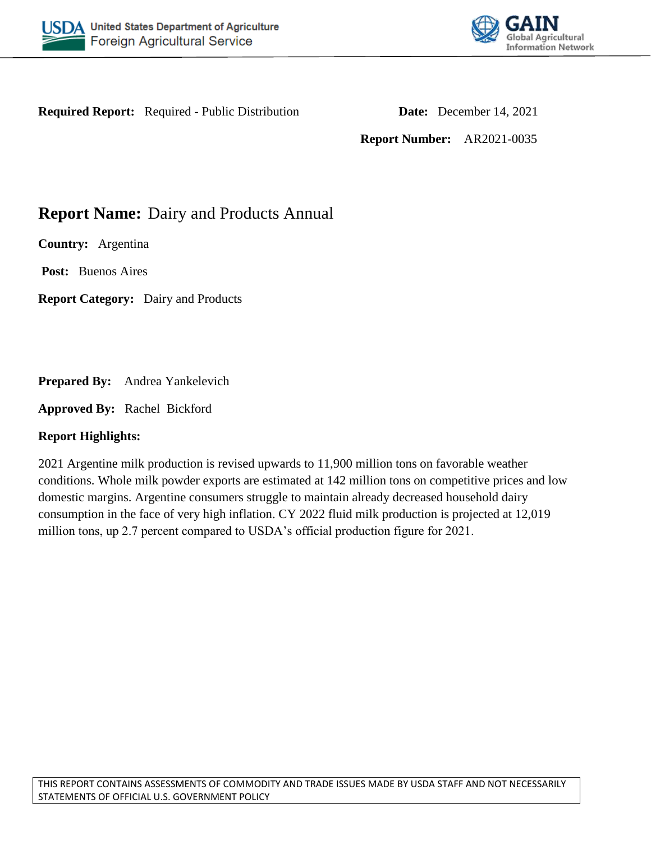



**Required Report:** Required - Public Distribution **Date:** December 14, 2021

**Report Number:** AR2021-0035

# **Report Name:** Dairy and Products Annual

**Country:** Argentina

**Post:** Buenos Aires

**Report Category:** Dairy and Products

**Prepared By:** Andrea Yankelevich

**Approved By:** Rachel Bickford

## **Report Highlights:**

2021 Argentine milk production is revised upwards to 11,900 million tons on favorable weather conditions. Whole milk powder exports are estimated at 142 million tons on competitive prices and low domestic margins. Argentine consumers struggle to maintain already decreased household dairy consumption in the face of very high inflation. CY 2022 fluid milk production is projected at 12,019 million tons, up 2.7 percent compared to USDA's official production figure for 2021.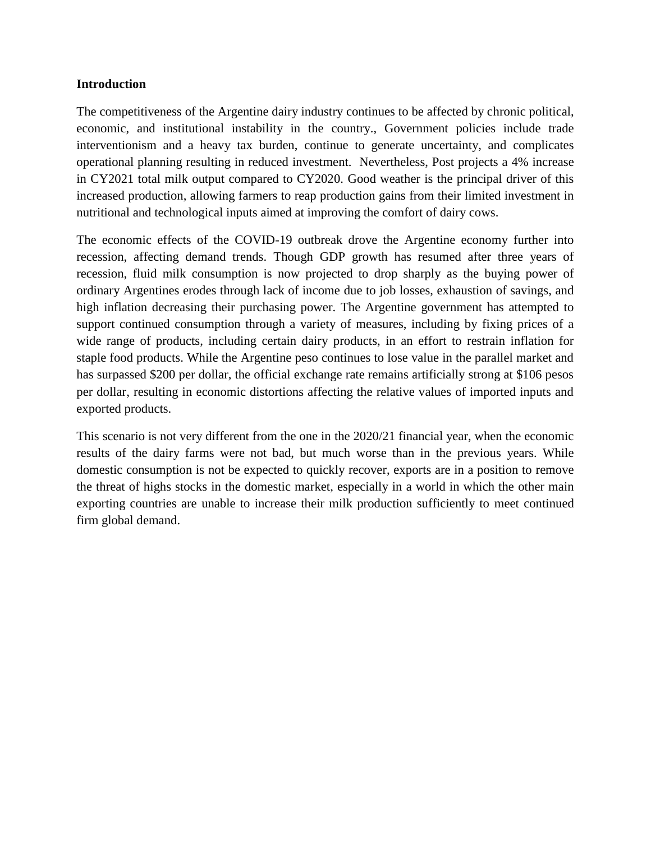#### **Introduction**

The competitiveness of the Argentine dairy industry continues to be affected by chronic political, economic, and institutional instability in the country., Government policies include trade interventionism and a heavy tax burden, continue to generate uncertainty, and complicates operational planning resulting in reduced investment. Nevertheless, Post projects a 4% increase in CY2021 total milk output compared to CY2020. Good weather is the principal driver of this increased production, allowing farmers to reap production gains from their limited investment in nutritional and technological inputs aimed at improving the comfort of dairy cows.

The economic effects of the COVID-19 outbreak drove the Argentine economy further into recession, affecting demand trends. Though GDP growth has resumed after three years of recession, fluid milk consumption is now projected to drop sharply as the buying power of ordinary Argentines erodes through lack of income due to job losses, exhaustion of savings, and high inflation decreasing their purchasing power. The Argentine government has attempted to support continued consumption through a variety of measures, including by fixing prices of a wide range of products, including certain dairy products, in an effort to restrain inflation for staple food products. While the Argentine peso continues to lose value in the parallel market and has surpassed \$200 per dollar, the official exchange rate remains artificially strong at \$106 pesos per dollar, resulting in economic distortions affecting the relative values of imported inputs and exported products.

This scenario is not very different from the one in the 2020/21 financial year, when the economic results of the dairy farms were not bad, but much worse than in the previous years. While domestic consumption is not be expected to quickly recover, exports are in a position to remove the threat of highs stocks in the domestic market, especially in a world in which the other main exporting countries are unable to increase their milk production sufficiently to meet continued firm global demand.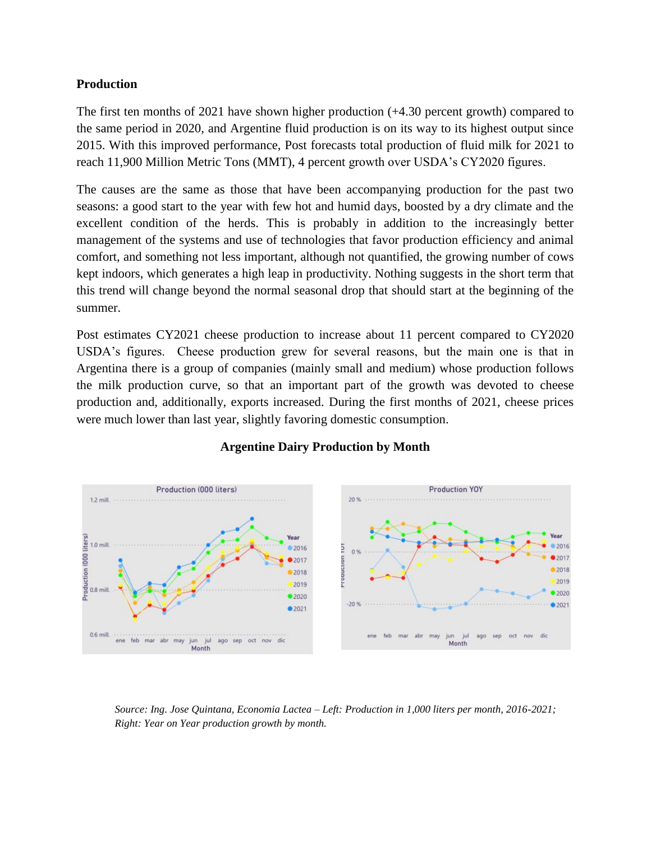### **Production**

The first ten months of 2021 have shown higher production (+4.30 percent growth) compared to the same period in 2020, and Argentine fluid production is on its way to its highest output since 2015. With this improved performance, Post forecasts total production of fluid milk for 2021 to reach 11,900 Million Metric Tons (MMT), 4 percent growth over USDA's CY2020 figures.

The causes are the same as those that have been accompanying production for the past two seasons: a good start to the year with few hot and humid days, boosted by a dry climate and the excellent condition of the herds. This is probably in addition to the increasingly better management of the systems and use of technologies that favor production efficiency and animal comfort, and something not less important, although not quantified, the growing number of cows kept indoors, which generates a high leap in productivity. Nothing suggests in the short term that this trend will change beyond the normal seasonal drop that should start at the beginning of the summer.

Post estimates CY2021 cheese production to increase about 11 percent compared to CY2020 USDA's figures. Cheese production grew for several reasons, but the main one is that in Argentina there is a group of companies (mainly small and medium) whose production follows the milk production curve, so that an important part of the growth was devoted to cheese production and, additionally, exports increased. During the first months of 2021, cheese prices were much lower than last year, slightly favoring domestic consumption.



### **Argentine Dairy Production by Month**

*Source: Ing. Jose Quintana, Economia Lactea – Left: Production in 1,000 liters per month, 2016-2021; Right: Year on Year production growth by month.*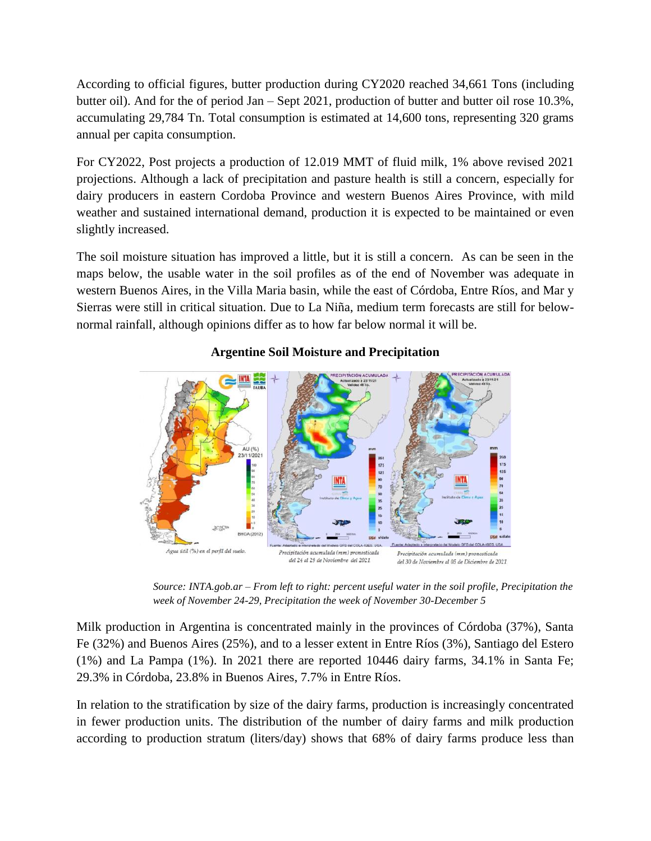According to official figures, butter production during CY2020 reached 34,661 Tons (including butter oil). And for the of period Jan – Sept 2021, production of butter and butter oil rose 10.3%, accumulating 29,784 Tn. Total consumption is estimated at 14,600 tons, representing 320 grams annual per capita consumption.

For CY2022, Post projects a production of 12.019 MMT of fluid milk, 1% above revised 2021 projections. Although a lack of precipitation and pasture health is still a concern, especially for dairy producers in eastern Cordoba Province and western Buenos Aires Province, with mild weather and sustained international demand, production it is expected to be maintained or even slightly increased.

The soil moisture situation has improved a little, but it is still a concern. As can be seen in the maps below, the usable water in the soil profiles as of the end of November was adequate in western Buenos Aires, in the Villa Maria basin, while the east of Córdoba, Entre Ríos, and Mar y Sierras were still in critical situation. Due to La Niña, medium term forecasts are still for belownormal rainfall, although opinions differ as to how far below normal it will be.



## **Argentine Soil Moisture and Precipitation**

*Source: INTA.gob.ar – From left to right: percent useful water in the soil profile, Precipitation the week of November 24-29, Precipitation the week of November 30-December 5*

Milk production in Argentina is concentrated mainly in the provinces of Córdoba (37%), Santa Fe (32%) and Buenos Aires (25%), and to a lesser extent in Entre Ríos (3%), Santiago del Estero (1%) and La Pampa (1%). In 2021 there are reported 10446 dairy farms, 34.1% in Santa Fe; 29.3% in Córdoba, 23.8% in Buenos Aires, 7.7% in Entre Ríos.

In relation to the stratification by size of the dairy farms, production is increasingly concentrated in fewer production units. The distribution of the number of dairy farms and milk production according to production stratum (liters/day) shows that 68% of dairy farms produce less than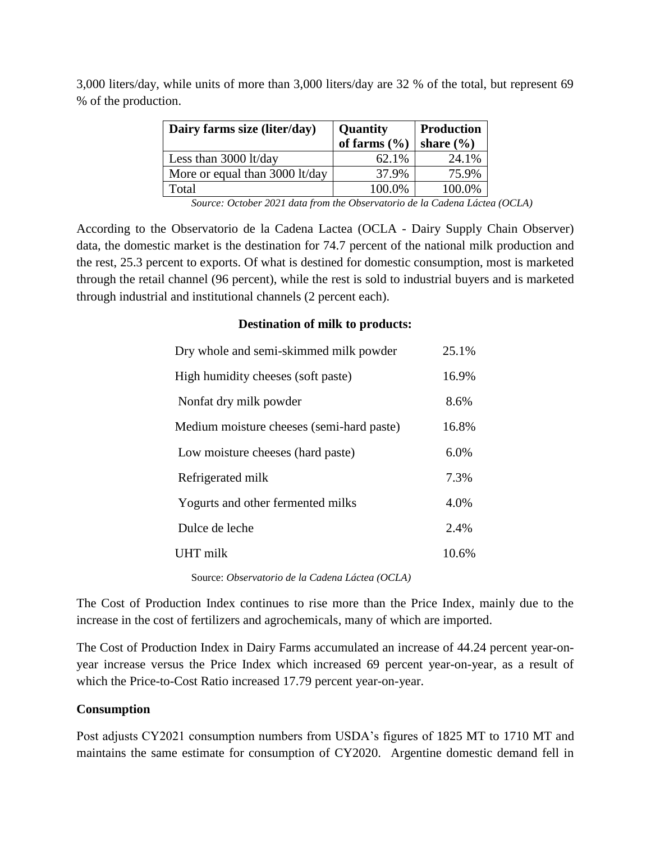| Dairy farms size (liter/day)   | <b>Quantity</b><br>of farms $(\% )$ | <b>Production</b><br>share $(\% )$ |
|--------------------------------|-------------------------------------|------------------------------------|
| Less than $3000$ lt/day        | 62.1%                               | 24.1%                              |
| More or equal than 3000 lt/day | 37.9%                               | 75.9%                              |
| Total                          | 100.0%                              | 100.0%                             |

3,000 liters/day, while units of more than 3,000 liters/day are 32 % of the total, but represent 69 % of the production.

*Source: October 2021 data from the Observatorio de la Cadena Láctea (OCLA)*

According to the Observatorio de la Cadena Lactea (OCLA - Dairy Supply Chain Observer) data, the domestic market is the destination for 74.7 percent of the national milk production and the rest, 25.3 percent to exports. Of what is destined for domestic consumption, most is marketed through the retail channel (96 percent), while the rest is sold to industrial buyers and is marketed through industrial and institutional channels (2 percent each).

#### **Destination of milk to products:**

| Dry whole and semi-skimmed milk powder    | 25.1% |
|-------------------------------------------|-------|
| High humidity cheeses (soft paste)        | 16.9% |
| Nonfat dry milk powder                    | 8.6%  |
| Medium moisture cheeses (semi-hard paste) | 16.8% |
| Low moisture cheeses (hard paste)         | 6.0%  |
| Refrigerated milk                         | 7.3%  |
| Yogurts and other fermented milks         | 4.0%  |
| Dulce de leche                            | 2.4%  |
| UHT milk                                  | 10.6% |
|                                           |       |

Source: *Observatorio de la Cadena Láctea (OCLA)*

The Cost of Production Index continues to rise more than the Price Index, mainly due to the increase in the cost of fertilizers and agrochemicals, many of which are imported.

The Cost of Production Index in Dairy Farms accumulated an increase of 44.24 percent year-onyear increase versus the Price Index which increased 69 percent year-on-year, as a result of which the Price-to-Cost Ratio increased 17.79 percent year-on-year.

#### **Consumption**

Post adjusts CY2021 consumption numbers from USDA's figures of 1825 MT to 1710 MT and maintains the same estimate for consumption of CY2020. Argentine domestic demand fell in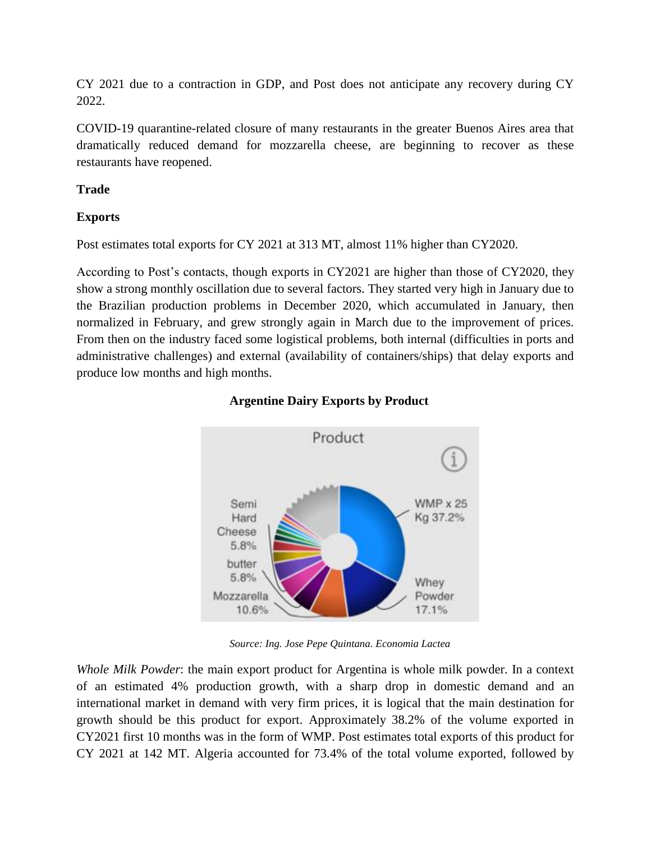CY 2021 due to a contraction in GDP, and Post does not anticipate any recovery during CY 2022.

COVID-19 quarantine-related closure of many restaurants in the greater Buenos Aires area that dramatically reduced demand for mozzarella cheese, are beginning to recover as these restaurants have reopened.

## **Trade**

## **Exports**

Post estimates total exports for CY 2021 at 313 MT, almost 11% higher than CY2020.

According to Post's contacts, though exports in CY2021 are higher than those of CY2020, they show a strong monthly oscillation due to several factors. They started very high in January due to the Brazilian production problems in December 2020, which accumulated in January, then normalized in February, and grew strongly again in March due to the improvement of prices. From then on the industry faced some logistical problems, both internal (difficulties in ports and administrative challenges) and external (availability of containers/ships) that delay exports and produce low months and high months.



## **Argentine Dairy Exports by Product**

*Source: Ing. Jose Pepe Quintana. Economia Lactea*

*Whole Milk Powder*: the main export product for Argentina is whole milk powder. In a context of an estimated 4% production growth, with a sharp drop in domestic demand and an international market in demand with very firm prices, it is logical that the main destination for growth should be this product for export. Approximately 38.2% of the volume exported in CY2021 first 10 months was in the form of WMP. Post estimates total exports of this product for CY 2021 at 142 MT. Algeria accounted for 73.4% of the total volume exported, followed by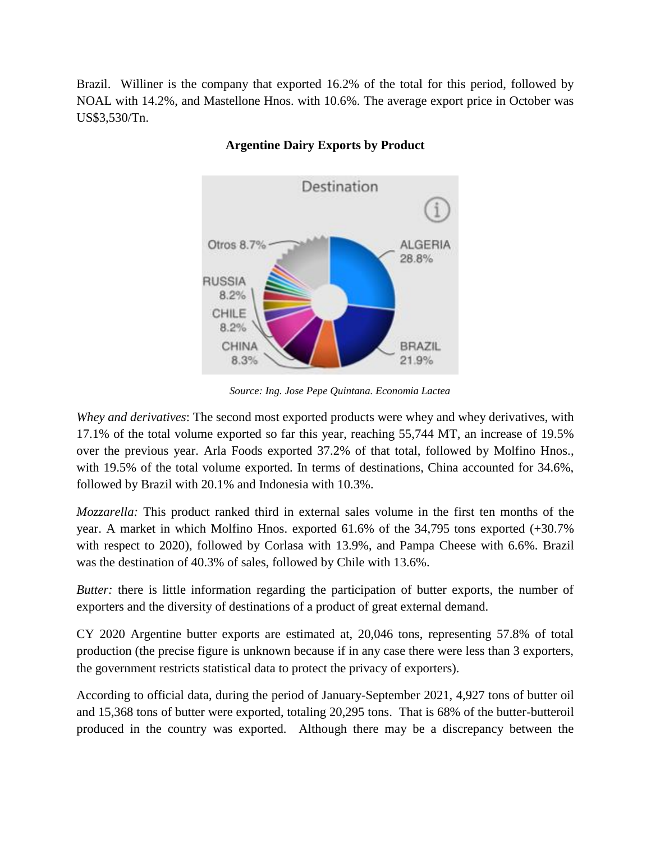Brazil. Williner is the company that exported 16.2% of the total for this period, followed by NOAL with 14.2%, and Mastellone Hnos. with 10.6%. The average export price in October was US\$3,530/Tn.



## **Argentine Dairy Exports by Product**

*Source: Ing. Jose Pepe Quintana. Economia Lactea*

*Whey and derivatives*: The second most exported products were whey and whey derivatives, with 17.1% of the total volume exported so far this year, reaching 55,744 MT, an increase of 19.5% over the previous year. Arla Foods exported 37.2% of that total, followed by Molfino Hnos., with 19.5% of the total volume exported. In terms of destinations, China accounted for 34.6%, followed by Brazil with 20.1% and Indonesia with 10.3%.

*Mozzarella:* This product ranked third in external sales volume in the first ten months of the year. A market in which Molfino Hnos. exported 61.6% of the 34,795 tons exported (+30.7% with respect to 2020), followed by Corlasa with 13.9%, and Pampa Cheese with 6.6%. Brazil was the destination of 40.3% of sales, followed by Chile with 13.6%.

*Butter:* there is little information regarding the participation of butter exports, the number of exporters and the diversity of destinations of a product of great external demand.

CY 2020 Argentine butter exports are estimated at, 20,046 tons, representing 57.8% of total production (the precise figure is unknown because if in any case there were less than 3 exporters, the government restricts statistical data to protect the privacy of exporters).

According to official data, during the period of January-September 2021, 4,927 tons of butter oil and 15,368 tons of butter were exported, totaling 20,295 tons. That is 68% of the butter-butteroil produced in the country was exported. Although there may be a discrepancy between the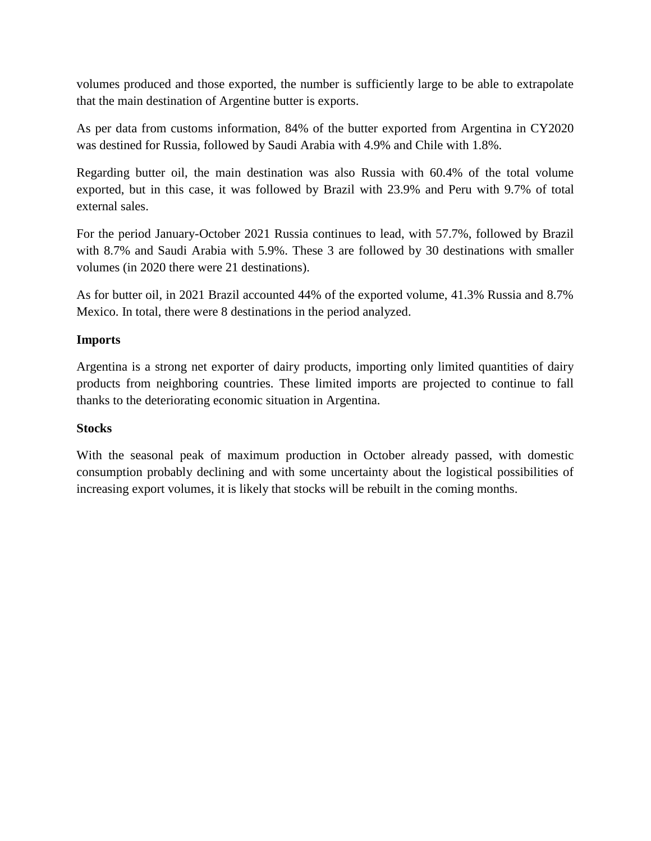volumes produced and those exported, the number is sufficiently large to be able to extrapolate that the main destination of Argentine butter is exports.

As per data from customs information, 84% of the butter exported from Argentina in CY2020 was destined for Russia, followed by Saudi Arabia with 4.9% and Chile with 1.8%.

Regarding butter oil, the main destination was also Russia with 60.4% of the total volume exported, but in this case, it was followed by Brazil with 23.9% and Peru with 9.7% of total external sales.

For the period January-October 2021 Russia continues to lead, with 57.7%, followed by Brazil with 8.7% and Saudi Arabia with 5.9%. These 3 are followed by 30 destinations with smaller volumes (in 2020 there were 21 destinations).

As for butter oil, in 2021 Brazil accounted 44% of the exported volume, 41.3% Russia and 8.7% Mexico. In total, there were 8 destinations in the period analyzed.

### **Imports**

Argentina is a strong net exporter of dairy products, importing only limited quantities of dairy products from neighboring countries. These limited imports are projected to continue to fall thanks to the deteriorating economic situation in Argentina.

#### **Stocks**

With the seasonal peak of maximum production in October already passed, with domestic consumption probably declining and with some uncertainty about the logistical possibilities of increasing export volumes, it is likely that stocks will be rebuilt in the coming months.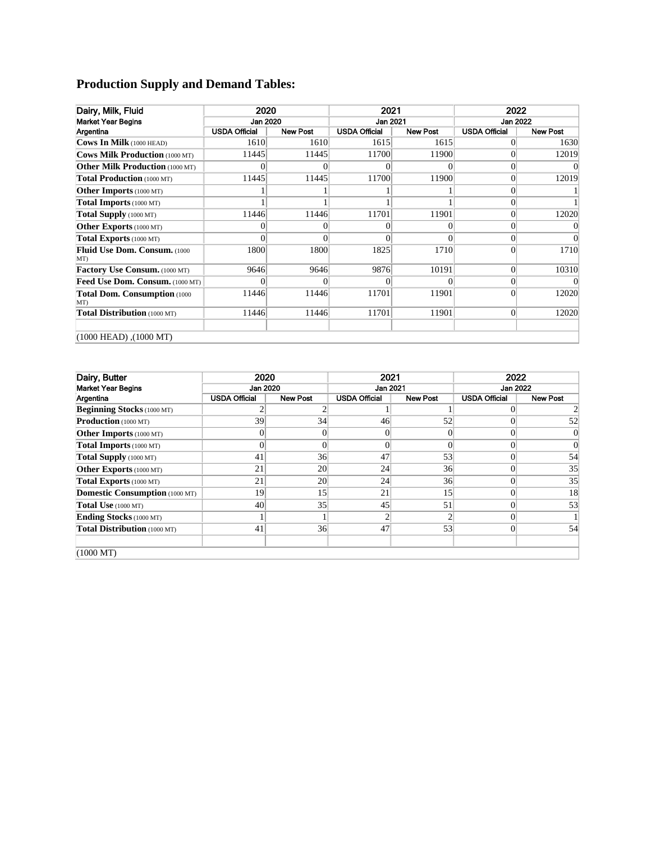# **Production Supply and Demand Tables:**

| Dairy, Milk, Fluid                          | 2020<br>Jan 2020 |                 | 2021                 |                 | 2022<br>Jan 2022     |                 |
|---------------------------------------------|------------------|-----------------|----------------------|-----------------|----------------------|-----------------|
| <b>Market Year Begins</b>                   |                  |                 | Jan 2021             |                 |                      |                 |
| Argentina                                   | USDA Official    | <b>New Post</b> | <b>USDA Official</b> | <b>New Post</b> | <b>USDA Official</b> | <b>New Post</b> |
| Cows In Milk (1000 HEAD)                    | 1610             | 1610            | 1615                 | 1615            | 0                    | 1630            |
| Cows Milk Production (1000 MT)              | 11445            | 11445           | 11700                | 11900           | 0                    | 12019           |
| <b>Other Milk Production (1000 MT)</b>      |                  |                 | 0                    |                 | 0                    |                 |
| Total Production (1000 MT)                  | 11445            | 11445           | 11700                | 11900           | $\overline{0}$       | 12019           |
| Other Imports (1000 MT)                     |                  |                 |                      |                 | 0                    |                 |
| <b>Total Imports</b> (1000 MT)              |                  |                 |                      |                 | 0                    |                 |
| Total Supply (1000 MT)                      | 11446            | 11446           | 11701                | 11901           | $\Omega$             | 12020           |
| Other Exports (1000 MT)                     |                  | 0               | 0                    | 0               | 0                    |                 |
| Total Exports (1000 MT)                     |                  |                 | 0                    | 0               | $\Omega$             | 0               |
| Fluid Use Dom. Consum. (1000<br>MT)         | 1800             | 1800            | 1825                 | 1710            | $\Omega$             | 1710            |
| Factory Use Consum. (1000 MT)               | 9646             | 9646            | 9876                 | 10191           | $\Omega$             | 10310           |
| Feed Use Dom. Consum. (1000 MT)             |                  |                 | 0                    | 0               | $\vert 0 \vert$      |                 |
| <b>Total Dom. Consumption (1000)</b><br>MT) | 11446            | 11446           | 11701                | 11901           | $\Omega$             | 12020           |
| Total Distribution (1000 MT)                | 11446            | 11446           | 11701                | 11901           | $\overline{0}$       | 12020           |
| $(1000 \text{ HEAD})$ , $(1000 \text{ MT})$ |                  |                 |                      |                 |                      |                 |

| Dairy, Butter                         | 2020                 |                 | 2021                 |                 | 2022                 |                 |
|---------------------------------------|----------------------|-----------------|----------------------|-----------------|----------------------|-----------------|
| <b>Market Year Begins</b>             | Jan 2020             |                 | Jan 2021             |                 | <b>Jan 2022</b>      |                 |
| Argentina                             | <b>USDA Official</b> | <b>New Post</b> | <b>USDA Official</b> | <b>New Post</b> | <b>USDA Official</b> | <b>New Post</b> |
| <b>Beginning Stocks</b> (1000 MT)     |                      |                 |                      |                 |                      |                 |
| Production (1000 MT)                  | 39                   | 34              | 46                   | 52              | 0                    | 52              |
| <b>Other Imports</b> (1000 MT)        |                      |                 | $\Omega$             | 0               |                      | $\overline{0}$  |
| Total Imports (1000 MT)               |                      |                 | $\Omega$             | $\Omega$        |                      | $\Omega$        |
| Total Supply (1000 MT)                | 41                   | 36              | 47                   | 53              | $\Omega$             | 54              |
| Other Exports (1000 MT)               | 21                   | 20              | 24                   | 36              |                      | 35              |
| Total Exports (1000 MT)               | 21                   | 20              | 24                   | 36              | 0                    | 35              |
| <b>Domestic Consumption (1000 MT)</b> | 19                   | 15              | 21                   | 15              | 0                    | 18              |
| Total Use (1000 MT)                   | 40                   | 35              | 45                   | 51              |                      | 53              |
| Ending Stocks (1000 MT)               |                      |                 | $\overline{c}$       |                 |                      |                 |
| Total Distribution (1000 MT)          | 41                   | 36              | 47                   | 53              | $\Omega$             | 54              |
| $(1000 \text{ MT})$                   |                      |                 |                      |                 |                      |                 |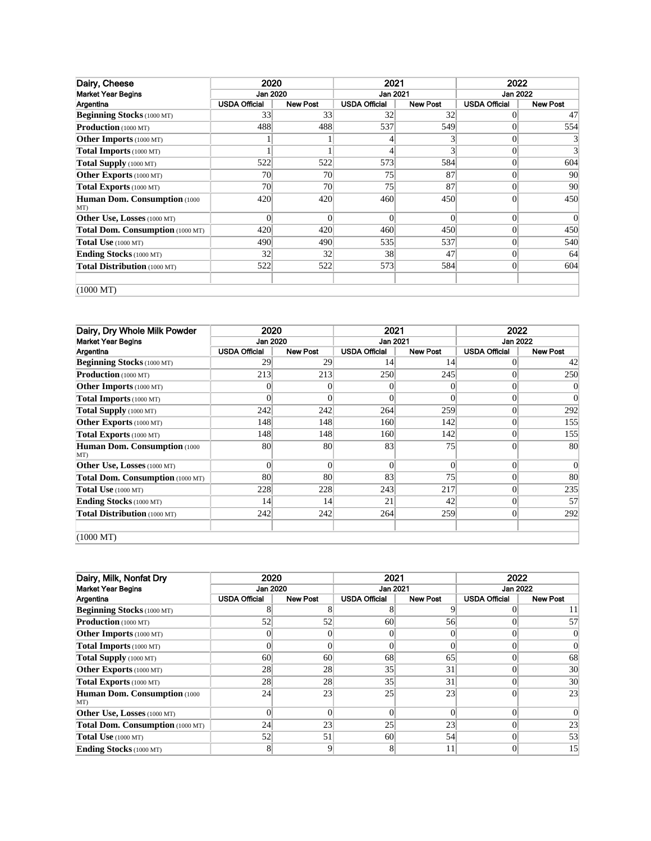| Dairy, Cheese                        | 2020                 |                 | 2021                 |                 | 2022                 |                 |
|--------------------------------------|----------------------|-----------------|----------------------|-----------------|----------------------|-----------------|
| <b>Market Year Begins</b>            | Jan 2020<br>Jan 2021 |                 |                      | <b>Jan 2022</b> |                      |                 |
| Argentina                            | <b>USDA Official</b> | <b>New Post</b> | <b>USDA Official</b> | <b>New Post</b> | <b>USDA Official</b> | <b>New Post</b> |
| <b>Beginning Stocks</b> (1000 MT)    | 33                   | 33              | 32                   | 32              |                      | 47              |
| Production (1000 MT)                 | 488                  | 488             | 537                  | 549             |                      | 554             |
| <b>Other Imports</b> (1000 MT)       |                      |                 |                      |                 |                      |                 |
| Total Imports (1000 MT)              |                      |                 |                      |                 | $\Omega$             |                 |
| Total Supply (1000 MT)               | 522                  | 522             | 573                  | 584             | $\Omega$             | 604             |
| Other Exports (1000 MT)              | 70                   | 70              | 75                   | 87              | $\Omega$             | 90              |
| Total Exports (1000 MT)              | 70                   | 70              | 75                   | 87              | $\Omega$             | 90              |
| Human Dom. Consumption (1000)<br>MT) | 420                  | 420             | 460                  | 450             | $\Omega$             | 450             |
| <b>Other Use, Losses</b> (1000 MT)   | $\overline{0}$       | $\theta$        | $\overline{0}$       | $\theta$        | 0                    |                 |
| Total Dom. Consumption (1000 MT)     | 420                  | 420             | 460                  | 450             | $\Omega$             | 450             |
| Total Use (1000 MT)                  | 490                  | 490             | 535                  | 537             | $\Omega$             | 540             |
| <b>Ending Stocks</b> (1000 MT)       | 32                   | 32              | 38                   | 47              | $\Omega$             | 64              |
| Total Distribution (1000 MT)         | 522                  | 522             | 573                  | 584             | $\vert$ 0            | 604             |
| $(1000 \text{ MT})$                  |                      |                 |                      |                 |                      |                 |

| Dairy, Dry Whole Milk Powder        | 2020                 |                 | 2021                 |                 | 2022                 |                 |  |
|-------------------------------------|----------------------|-----------------|----------------------|-----------------|----------------------|-----------------|--|
| <b>Market Year Begins</b>           | Jan 2020             |                 | Jan 2021             |                 | Jan 2022             |                 |  |
| Argentina                           | <b>USDA Official</b> | <b>New Post</b> | <b>USDA Official</b> | <b>New Post</b> | <b>USDA Official</b> | <b>New Post</b> |  |
| <b>Beginning Stocks</b> (1000 MT)   | 29                   | 29              | 14                   | 14              |                      | 42              |  |
| <b>Production</b> (1000 MT)         | 213                  | 213             | 250                  | 245             |                      | 250             |  |
| <b>Other Imports</b> (1000 MT)      | $\Omega$             |                 | 0                    | 0               |                      | 0               |  |
| Total Imports (1000 MT)             | $\Omega$             |                 |                      |                 | 0                    | $\overline{0}$  |  |
| Total Supply (1000 MT)              | 242                  | 242             | 264                  | 259             | 0                    | 292             |  |
| Other Exports (1000 MT)             | 148                  | 148             | 160                  | 142             | 0                    | 155             |  |
| Total Exports (1000 MT)             | 148                  | 148             | 160                  | 142             | 0                    | 155             |  |
| Human Dom. Consumption (1000<br>MT) | 80                   | 80              | 83                   | 75              | 0                    | 80              |  |
| Other Use, Losses (1000 MT)         | $\theta$             | $\Omega$        | $\Omega$             | $\Omega$        | $\theta$             | $\overline{0}$  |  |
| Total Dom. Consumption (1000 MT)    | 80                   | 80              | 83                   | 75              | 0                    | 80              |  |
| Total Use (1000 MT)                 | 228                  | 228             | 243                  | 217             | 0                    | 235             |  |
| <b>Ending Stocks</b> (1000 MT)      | 14                   | 14              | 21                   | 42              | 0                    | 57              |  |
| Total Distribution (1000 MT)        | 242                  | 242             | 264                  | 259             | $\overline{0}$       | 292             |  |
| $(1000 \text{ MT})$                 |                      |                 |                      |                 |                      |                 |  |

| Dairy, Milk, Nonfat Dry              | 2020                 |                 | 2021                 |                 | 2022                 |                 |
|--------------------------------------|----------------------|-----------------|----------------------|-----------------|----------------------|-----------------|
| <b>Market Year Begins</b>            | Jan 2020             |                 | Jan 2021             |                 | Jan 2022             |                 |
| Argentina                            | <b>USDA Official</b> | New Post        | <b>USDA Official</b> | <b>New Post</b> | <b>USDA Official</b> | <b>New Post</b> |
| <b>Beginning Stocks</b> (1000 MT)    |                      |                 |                      |                 |                      |                 |
| <b>Production</b> (1000 MT)          | 52                   | 52              | 60                   | 56              |                      | 57              |
| <b>Other Imports</b> (1000 MT)       |                      |                 |                      |                 |                      |                 |
| <b>Total Imports</b> (1000 MT)       |                      | 0               |                      | 0               |                      |                 |
| Total Supply (1000 MT)               | 60                   | 60 <sup>°</sup> | 68                   | 65              |                      | 68              |
| Other Exports (1000 MT)              | 28                   | 28              | 35                   | 31              |                      | 30 <sup>l</sup> |
| Total Exports (1000 MT)              | 28                   | 28              | 35                   | 31              |                      | 30 <sup>l</sup> |
| Human Dom. Consumption (1000)<br>MT) | 24                   | 23              | 25                   | 23              |                      | 23              |
| <b>Other Use, Losses</b> (1000 MT)   | $\Omega$             |                 |                      |                 |                      |                 |
| Total Dom. Consumption (1000 MT)     | 24                   | 23              | 25                   | 23              |                      | 23              |
| Total Use (1000 MT)                  | 52                   | 51              | 60                   | 54              |                      | 53              |
| <b>Ending Stocks</b> (1000 MT)       | 8                    |                 |                      | 11              |                      | 15 <sup>l</sup> |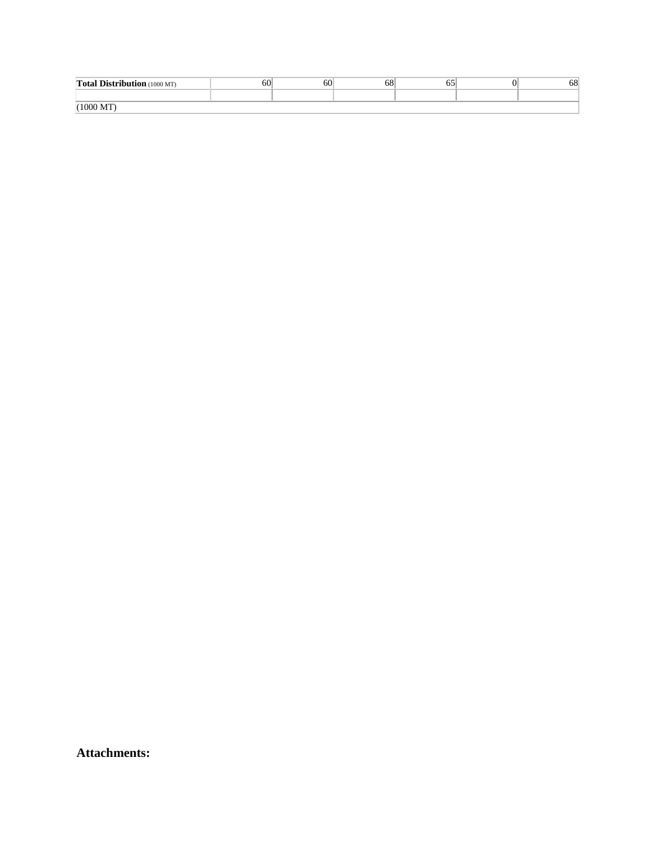| <b>Total Distribution</b> (1000 MT) | 60 | 60 | 68 |  | 68 |
|-------------------------------------|----|----|----|--|----|
|                                     |    |    |    |  |    |
| $(1000 \text{ MT})$                 |    |    |    |  |    |

**Attachments:**